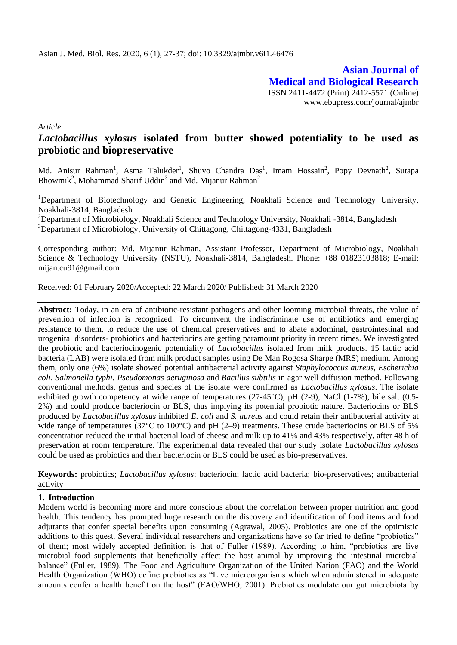**Asian Journal of Medical and Biological Research** ISSN 2411-4472 (Print) 2412-5571 (Online) www.ebupress.com/journal/ajmbr

*Article*

# *Lactobacillus xylosus* **isolated from butter showed potentiality to be used as probiotic and biopreservative**

Md. Anisur Rahman<sup>1</sup>, Asma Talukder<sup>1</sup>, Shuvo Chandra Das<sup>1</sup>, Imam Hossain<sup>2</sup>, Popy Devnath<sup>2</sup>, Sutapa Bhowmik<sup>2</sup>, Mohammad Sharif Uddin<sup>3</sup> and Md. Mijanur Rahman<sup>2</sup>

<sup>1</sup>Department of Biotechnology and Genetic Engineering, Noakhali Science and Technology University, Noakhali-3814, Bangladesh

<sup>2</sup>Department of Microbiology, Noakhali Science and Technology University, Noakhali -3814, Bangladesh <sup>3</sup>Department of Microbiology, University of Chittagong, Chittagong-4331, Bangladesh

Corresponding author: Md. Mijanur Rahman, Assistant Professor, Department of Microbiology, Noakhali Science & Technology University (NSTU), Noakhali-3814, Bangladesh. Phone: +88 01823103818; E-mail: [mijan.cu91@gmail.com](mailto:mijan.cu91@gmail.com)

Received: 01 February 2020/Accepted: 22 March 2020/ Published: 31 March 2020

**Abstract:** Today, in an era of antibiotic-resistant pathogens and other looming microbial threats, the value of prevention of infection is recognized. To circumvent the indiscriminate use of antibiotics and emerging resistance to them, to reduce the use of chemical preservatives and to abate abdominal, gastrointestinal and urogenital disorders- probiotics and bacteriocins are getting paramount priority in recent times. We investigated the probiotic and bacteriocinogenic potentiality of *Lactobacillus* isolated from milk products. 15 lactic acid bacteria (LAB) were isolated from milk product samples using De Man Rogosa Sharpe (MRS) medium. Among them, only one (6%) isolate showed potential antibacterial activity against *Staphylococcus aureus, Escherichia coli, Salmonella typhi, Pseudomonas aeruginosa* and *Bacillus subtilis* in agar well diffusion method. Following conventional methods, genus and species of the isolate were confirmed as *Lactobacillus xylosus*. The isolate exhibited growth competency at wide range of temperatures (27-45°C), pH (2-9), NaCl (1-7%), bile salt (0.5- 2%) and could produce bacteriocin or BLS, thus implying its potential probiotic nature. Bacteriocins or BLS produced by *Lactobacillus xylosus* inhibited *E. coli* and *S. aureus* and could retain their antibacterial activity at wide range of temperatures (37 $^{\circ}$ C to 100 $^{\circ}$ C) and pH (2–9) treatments. These crude bacteriocins or BLS of 5% concentration reduced the initial bacterial load of cheese and milk up to 41% and 43% respectively, after 48 h of preservation at room temperature. The experimental data revealed that our study isolate *Lactobacillus xylosus*  could be used as probiotics and their bacteriocin or BLS could be used as bio-preservatives.

**Keywords:** probiotics; *Lactobacillus xylosus*; bacteriocin; lactic acid bacteria; bio-preservatives; antibacterial activity

### **1. Introduction**

Modern world is becoming more and more conscious about the correlation between proper nutrition and good health. This tendency has prompted huge research on the discovery and identification of food items and food adjutants that confer special benefits upon consuming (Agrawal, 2005). Probiotics are one of the optimistic additions to this quest. Several individual researchers and organizations have so far tried to define "probiotics" of them; most widely accepted definition is that of Fuller (1989). According to him, "probiotics are live microbial food supplements that beneficially affect the host animal by improving the intestinal microbial balance" (Fuller, 1989). The Food and Agriculture Organization of the United Nation (FAO) and the World Health Organization (WHO) define probiotics as "Live microorganisms which when administered in adequate amounts confer a health benefit on the host" (FAO/WHO, 2001). Probiotics modulate our gut microbiota by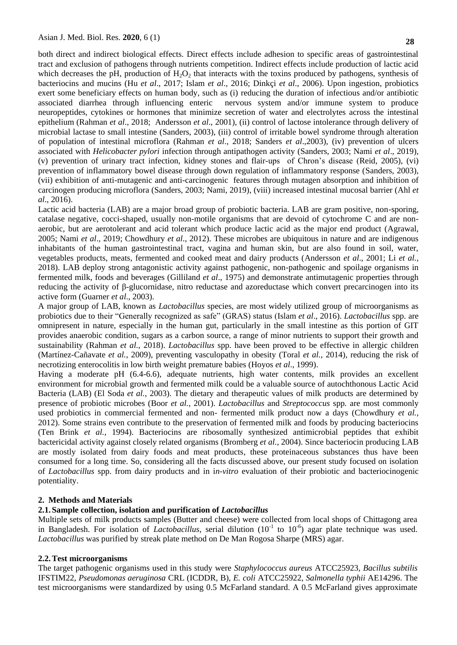both direct and indirect biological effects. Direct effects include adhesion to specific areas of gastrointestinal tract and exclusion of pathogens through nutrients competition. Indirect effects include production of lactic acid which decreases the pH, production of  $H_2O_2$  that interacts with the toxins produced by pathogens, synthesis of bacteriocins and mucins (Hu *et al*., 2017; Islam *et al*., 2016; Dinkçi *et al*., 2006). Upon ingestion, probiotics exert some beneficiary effects on human body, such as (i) reducing the duration of infectious and/or antibiotic associated diarrhea through influencing enteric nervous system and/or immune system to produce neuropeptides, cytokines or hormones that minimize secretion of water and electrolytes across the intestinal epithelium (Rahman *et al*., 2018; Andersson *et al*., 2001), (ii) control of lactose intolerance through delivery of microbial lactase to small intestine (Sanders, 2003), (iii) control of irritable bowel syndrome through alteration of population of intestinal microflora (Rahman *et al*., 2018; Sanders *et al*.,2003), (iv) prevention of ulcers associated with *Helicobacter pylori* infection through antipathogen activity (Sanders, 2003; Nami *et al*., 2019), (v) prevention of urinary tract infection, kidney stones and flair-ups of Chron"s disease (Reid, 2005), (vi) prevention of inflammatory bowel disease through down regulation of inflammatory response (Sanders, 2003), (vii) exhibition of anti-mutagenic and anti-carcinogenic features through mutagen absorption and inhibition of carcinogen producing microflora (Sanders, 2003; Nami, 2019), (viii) increased intestinal mucosal barrier (Ahl *et al*., 2016).

Lactic acid bacteria (LAB) are a major broad group of probiotic bacteria. LAB are gram positive, non-sporing, catalase negative, cocci-shaped, usually non-motile organisms that are devoid of cytochrome C and are nonaerobic, but are aerotolerant and acid tolerant which produce lactic acid as the major end product (Agrawal, 2005; Nami *et al*., 2019; Chowdhury *et al*., 2012). These microbes are ubiquitous in nature and are indigenous inhabitants of the human gastrointestinal tract, vagina and human skin, but are also found in soil, water, vegetables products, meats, fermented and cooked meat and dairy products (Andersson *et al*., 2001; Li *et al.*, 2018). LAB deploy strong antagonistic activity against pathogenic, non-pathogenic and spoilage organisms in fermented milk, foods and beverages (Gilliland *et al*., 1975) and demonstrate antimutagenic properties through reducing the activity of β-glucornidase, nitro reductase and azoreductase which convert precarcinogen into its active form (Guarner *et al*., 2003).

A major group of LAB, known as *Lactobacillus* species, are most widely utilized group of microorganisms as probiotics due to their "Generally recognized as safe" (GRAS) status (Islam *et al*., 2016). *Lactobacillus* spp. are omnipresent in nature, especially in the human gut, particularly in the small intestine as this portion of GIT provides anaerobic condition, sugars as a carbon source, a range of minor nutrients to support their growth and sustainability (Rahman *et al.*, 2018). *Lactobacillus* spp. have been proved to be effective in allergic children (Martínez-Cañavate *et al.*, 2009), preventing vasculopathy in obesity (Toral *et al.*, 2014), reducing the risk of necrotizing enterocolitis in low birth weight premature babies (Hoyos *et al*., 1999).

Having a moderate pH (6.4-6.6), adequate nutrients, high water contents, milk provides an excellent environment for microbial growth and fermented milk could be a valuable source of autochthonous Lactic Acid Bacteria (LAB) (El Soda *et al.*, 2003). The dietary and therapeutic values of milk products are determined by presence of probiotic microbes (Boor *et al.*, 2001). *Lactobacillus* and *Streptococcus* spp*.* are most commonly used probiotics in commercial fermented and non- fermented milk product now a days (Chowdhury *et al.*, 2012). Some strains even contribute to the preservation of fermented milk and foods by producing bacteriocins (Ten Brink *et al.*, 1994). Bacteriocins are ribosomally synthesized antimicrobial peptides that exhibit bactericidal activity against closely related organisms (Bromberg *et al.*, 2004). Since bacteriocin producing LAB are mostly isolated from dairy foods and meat products, these proteinaceous substances thus have been consumed for a long time. So, considering all the facts discussed above, our present study focused on isolation of *Lactobacillus* spp. from dairy products and in i*n-vitro* evaluation of their probiotic and bacteriocinogenic potentiality.

## **2. Methods and Materials**

## **2.1.Sample collection, isolation and purification of** *Lactobacillus*

Multiple sets of milk products samples (Butter and cheese) were collected from local shops of Chittagong area in Bangladesh. For isolation of *Lactobacillus*, serial dilution  $(10<sup>-1</sup>$  to  $10<sup>-6</sup>)$  agar plate technique was used. *Lactobacillus* was purified by streak plate method on De Man Rogosa Sharpe (MRS) agar.

## **2.2.Test microorganisms**

The target pathogenic organisms used in this study were *Staphylococcus aureus* ATCC25923*, Bacillus subtilis*  IFSTIM22, *Pseudomonas aeruginosa* CRL (ICDDR, B)*, E. coli* ATCC25922, *Salmonella typhii* AE14296. The test microorganisms were standardized by using 0.5 McFarland standard. A 0.5 McFarland gives approximate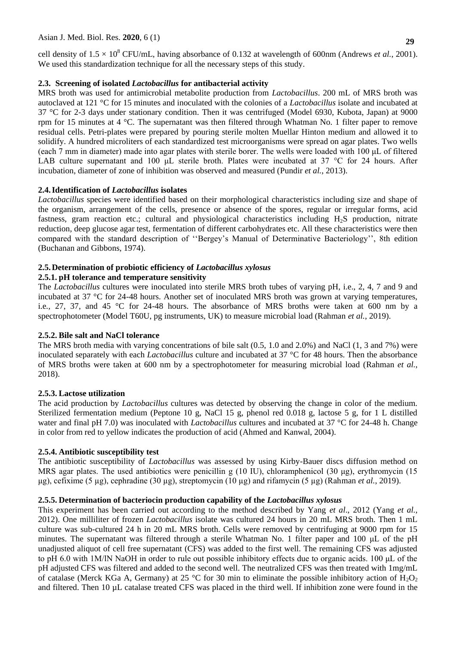cell density of  $1.5 \times 10^8$  CFU/mL, having absorbance of 0.132 at wavelength of 600nm (Andrews *et al.*, 2001). We used this standardization technique for all the necessary steps of this study.

## **2.3. Screening of isolated** *Lactobacillus* **for antibacterial activity**

MRS broth was used for antimicrobial metabolite production from *Lactobacillus*. 200 mL of MRS broth was autoclaved at 121 °C for 15 minutes and inoculated with the colonies of a *Lactobacillus* isolate and incubated at 37 °C for 2-3 days under stationary condition. Then it was centrifuged (Model 6930, Kubota, Japan) at 9000 rpm for 15 minutes at 4 °C. The supernatant was then filtered through Whatman No. 1 filter paper to remove residual cells. Petri-plates were prepared by pouring sterile molten Muellar Hinton medium and allowed it to solidify. A hundred microliters of each standardized test microorganisms were spread on agar plates. Two wells (each 7 mm in diameter) made into agar plates with sterile borer. The wells were loaded with 100 μL of filtered LAB culture supernatant and 100 μL sterile broth. Plates were incubated at 37 °C for 24 hours. After incubation, diameter of zone of inhibition was observed and measured (Pundir *et al.*, 2013).

# **2.4.Identification of** *Lactobacillus* **isolates**

*Lactobacillus* species were identified based on their morphological characteristics including size and shape of the organism, arrangement of the cells, presence or absence of the spores, regular or irregular forms, acid fastness, gram reaction etc.; cultural and physiological characteristics including H2S production, nitrate reduction, deep glucose agar test, fermentation of different carbohydrates etc. All these characteristics were then compared with the standard description of "Bergey's Manual of Determinative Bacteriology", 8th edition (Buchanan and Gibbons, 1974).

# **2.5.Determination of probiotic efficiency of** *Lactobacillus xylosus*

## **2.5.1. pH tolerance and temperature sensitivity**

The *Lactobacillus* cultures were inoculated into sterile MRS broth tubes of varying pH, i.e., 2, 4, 7 and 9 and incubated at 37 °C for 24-48 hours. Another set of inoculated MRS broth was grown at varying temperatures, i.e*.,* 27, 37, and 45 °C for 24-48 hours. The absorbance of MRS broths were taken at 600 nm by a spectrophotometer (Model T60U, pg instruments, UK) to measure microbial load (Rahman *et al.*, 2019).

## **2.5.2. Bile salt and NaCl tolerance**

The MRS broth media with varying concentrations of bile salt (0.5, 1.0 and 2.0%) and NaCl (1, 3 and 7%) were inoculated separately with each *Lactobacillus* culture and incubated at 37 °C for 48 hours. Then the absorbance of MRS broths were taken at 600 nm by a spectrophotometer for measuring microbial load (Rahman *et al.*, 2018).

## **2.5.3. Lactose utilization**

The acid production by *Lactobacillus* cultures was detected by observing the change in color of the medium. Sterilized fermentation medium (Peptone 10 g, NaCl 15 g, phenol red 0.018 g, lactose 5 g, for 1 L distilled water and final pH 7.0) was inoculated with *Lactobacillus* cultures and incubated at 37 °C for 24-48 h. Change in color from red to yellow indicates the production of acid (Ahmed and Kanwal, 2004).

# **2.5.4. Antibiotic susceptibility test**

The antibiotic susceptibility of *Lactobacillus* was assessed by using Kirby-Bauer discs diffusion method on MRS agar plates. The used antibiotics were penicillin g (10 IU), chloramphenicol (30  $\mu$ g), erythromycin (15 μg), cefixime (5 µg), cephradine (30 µg), streptomycin (10 µg) and rifamycin (5 µg) (Rahman *et al.*, 2019).

# **2.5.5. Determination of bacteriocin production capability of the** *Lactobacillus xylosus*

This experiment has been carried out according to the method described by Yang *et al*., 2012 (Yang *et al.*, 2012). One milliliter of frozen *Lactobacillus* isolate was cultured 24 hours in 20 mL MRS broth. Then 1 mL culture was sub-cultured 24 h in 20 mL MRS broth. Cells were removed by centrifuging at 9000 rpm for 15 minutes. The supernatant was filtered through a sterile Whatman No. 1 filter paper and 100 μL of the pH unadjusted aliquot of cell free supernatant (CFS) was added to the first well. The remaining CFS was adjusted to pH 6.0 with 1M/lN NaOH in order to rule out possible inhibitory effects due to organic acids. 100 μL of the pH adjusted CFS was filtered and added to the second well. The neutralized CFS was then treated with 1mg/mL of catalase (Merck KGa A, Germany) at 25 °C for 30 min to eliminate the possible inhibitory action of  $H_2O_2$ and filtered. Then 10 µL catalase treated CFS was placed in the third well. If inhibition zone were found in the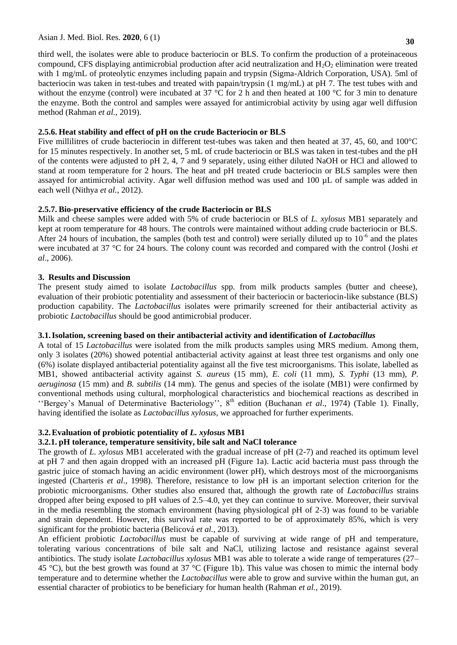#### Asian J. Med. Biol. Res. **2020**, 6 (1)

third well, the isolates were able to produce bacteriocin or BLS. To confirm the production of a proteinaceous compound, CFS displaying antimicrobial production after acid neutralization and  $H_2O_2$  elimination were treated with 1 mg/mL of proteolytic enzymes including papain and trypsin (Sigma-Aldrich Corporation, USA). 5ml of bacteriocin was taken in test-tubes and treated with papain/trypsin (1 mg/mL) at pH 7. The test tubes with and without the enzyme (control) were incubated at 37 °C for 2 h and then heated at 100 °C for 3 min to denature the enzyme. Both the control and samples were assayed for antimicrobial activity by using agar well diffusion method (Rahman *et al.*, 2019).

### **2.5.6. Heat stability and effect of pH on the crude Bacteriocin or BLS**

Five millilitres of crude bacteriocin in different test-tubes was taken and then heated at 37, 45, 60, and 100°C for 15 minutes respectively. In another set, 5 mL of crude bacteriocin or BLS was taken in test-tubes and the pH of the contents were adjusted to pH 2, 4, 7 and 9 separately, using either diluted NaOH or HCl and allowed to stand at room temperature for 2 hours. The heat and pH treated crude bacteriocin or BLS samples were then assayed for antimicrobial activity. Agar well diffusion method was used and 100 µL of sample was added in each well (Nithya *et al.*, 2012).

### **2.5.7. Bio-preservative efficiency of the crude Bacteriocin or BLS**

Milk and cheese samples were added with 5% of crude bacteriocin or BLS of *L. xylosus* MB1 separately and kept at room temperature for 48 hours. The controls were maintained without adding crude bacteriocin or BLS. After 24 hours of incubation, the samples (both test and control) were serially diluted up to  $10^{-6}$  and the plates were incubated at 37 °C for 24 hours. The colony count was recorded and compared with the control (Joshi *et al*., 2006).

#### **3. Results and Discussion**

The present study aimed to isolate *Lactobacillus* spp. from milk products samples (butter and cheese), evaluation of their probiotic potentiality and assessment of their bacteriocin or bacteriocin-like substance (BLS) production capability. The *Lactobacillus* isolates were primarily screened for their antibacterial activity as probiotic *Lactobacillus* should be good antimicrobial producer.

### **3.1.Isolation, screening based on their antibacterial activity and identification of** *Lactobacillus*

A total of 15 *Lactobacillus* were isolated from the milk products samples using MRS medium. Among them, only 3 isolates (20%) showed potential antibacterial activity against at least three test organisms and only one (6%) isolate displayed antibacterial potentiality against all the five test microorganisms. This isolate, labelled as MB1, showed antibacterial activity against *S. aureus* (15 mm)*, E. coli* (11 mm)*, S. Typhi* (13 mm)*, P. aeruginosa* (15 mm) and *B. subtilis* (14 mm). The genus and species of the isolate (MB1) were confirmed by conventional methods using cultural, morphological characteristics and biochemical reactions as described in "Bergey's Manual of Determinative Bacteriology", 8<sup>th</sup> edition (Buchanan et al., 1974) (Table 1). Finally, having identified the isolate as *Lactobacillus xylosus*, we approached for further experiments.

### **3.2.Evaluation of probiotic potentiality of** *L. xylosus* **MB1**

### **3.2.1. pH tolerance, temperature sensitivity, bile salt and NaCl tolerance**

The growth of *L. xylosus* MB1 accelerated with the gradual increase of pH (2-7) and reached its optimum level at pH 7 and then again dropped with an increased pH (Figure 1a). Lactic acid bacteria must pass through the gastric juice of stomach having an acidic environment (lower pH), which destroys most of the microorganisms ingested (Charteris *et al*., 1998). Therefore, resistance to low pH is an important selection criterion for the probiotic microorganisms. Other studies also ensured that, although the growth rate of *Lactobacillus* strains dropped after being exposed to pH values of 2.5–4.0, yet they can continue to survive. Moreover, their survival in the media resembling the stomach environment (having physiological pH of 2-3) was found to be variable and strain dependent. However, this survival rate was reported to be of approximately 85%, which is very significant for the probiotic bacteria (Belicová *et al.*, 2013).

An efficient probiotic *Lactobacillus* must be capable of surviving at wide range of pH and temperature, tolerating various concentrations of bile salt and NaCl, utilizing lactose and resistance against several antibiotics. The study isolate *Lactobacillus xylosus* MB1 was able to tolerate a wide range of temperatures (27– 45 °C), but the best growth was found at 37 °C (Figure 1b). This value was chosen to mimic the internal body temperature and to determine whether the *Lactobacillus* were able to grow and survive within the human gut, an essential character of probiotics to be beneficiary for human health (Rahman *et al.*, 2019).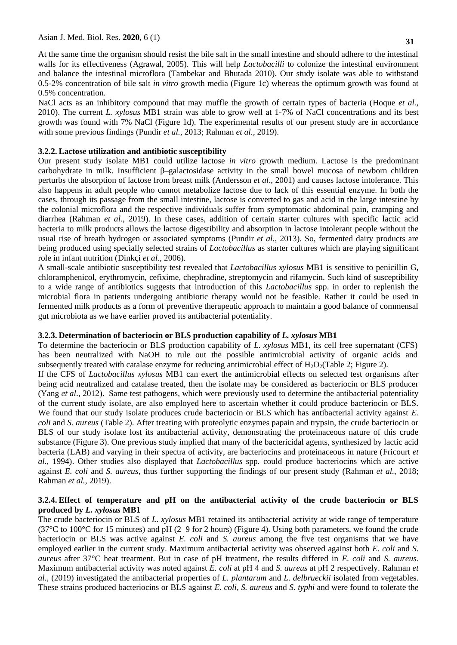At the same time the organism should resist the bile salt in the small intestine and should adhere to the intestinal walls for its effectiveness (Agrawal, 2005). This will help *Lactobacilli* to colonize the intestinal environment and balance the intestinal microflora (Tambekar and Bhutada 2010). Our study isolate was able to withstand 0.5-2% concentration of bile salt *in vitro* growth media (Figure 1c) whereas the optimum growth was found at 0.5% concentration.

NaCl acts as an inhibitory compound that may muffle the growth of certain types of bacteria (Hoque *et al.*, 2010). The current *L. xylosus* MB1 strain was able to grow well at 1-7% of NaCl concentrations and its best growth was found with 7% NaCl (Figure 1d). The experimental results of our present study are in accordance with some previous findings (Pundir *et al.*, 2013; Rahman *et al.*, 2019).

#### **3.2.2. Lactose utilization and antibiotic susceptibility**

Our present study isolate MB1 could utilize lactose *in vitro* growth medium. Lactose is the predominant carbohydrate in milk. Insufficient β–galactosidase activity in the small bowel mucosa of newborn children perturbs the absorption of lactose from breast milk (Andersson *et al*., 2001) and causes lactose intolerance. This also happens in adult people who cannot metabolize lactose due to lack of this essential enzyme. In both the cases, through its passage from the small intestine, lactose is converted to gas and acid in the large intestine by the colonial microflora and the respective individuals suffer from symptomatic abdominal pain, cramping and diarrhea (Rahman *et al.*, 2019). In these cases, addition of certain starter cultures with specific lactic acid bacteria to milk products allows the lactose digestibility and absorption in lactose intolerant people without the usual rise of breath hydrogen or associated symptoms (Pundir *et al.*, 2013). So, fermented dairy products are being produced using specially selected strains of *Lactobacillus* as starter cultures which are playing significant role in infant nutrition (Dinkçi *et al.*, 2006).

A small-scale antibiotic susceptibility test revealed that *Lactobacillus xylosus* MB1 is sensitive to penicillin G, chloramphenicol, erythromycin, cefixime, chephradine, streptomycin and rifamycin. Such kind of susceptibility to a wide range of antibiotics suggests that introduction of this *Lactobacillus* spp. in order to replenish the microbial flora in patients undergoing antibiotic therapy would not be feasible. Rather it could be used in fermented milk products as a form of preventive therapeutic approach to maintain a good balance of commensal gut microbiota as we have earlier proved its antibacterial potentiality.

#### **3.2.3. Determination of bacteriocin or BLS production capability of** *L. xylosus* **MB1**

To determine the bacteriocin or BLS production capability of *L. xylosus* MB1, its cell free supernatant (CFS) has been neutralized with NaOH to rule out the possible antimicrobial activity of organic acids and subsequently treated with catalase enzyme for reducing antimicrobial effect of  $H_2O_2$ (Table 2; Figure 2). If the CFS of *Lactobacillus xylosus* MB1 can exert the antimicrobial effects on selected test organisms after being acid neutralized and catalase treated, then the isolate may be considered as bacteriocin or BLS producer (Yang *et al*., 2012). Same test pathogens, which were previously used to determine the antibacterial potentiality of the current study isolate, are also employed here to ascertain whether it could produce bacteriocin or BLS. We found that our study isolate produces crude bacteriocin or BLS which has antibacterial activity against *E*. *coli* and *S. aureus* (Table 2). After treating with proteolytic enzymes papain and trypsin, the crude bacteriocin or BLS of our study isolate lost its antibacterial activity, demonstrating the proteinaceous nature of this crude substance (Figure 3). One previous study implied that many of the bactericidal agents, synthesized by lactic acid bacteria (LAB) and varying in their spectra of activity, are bacteriocins and proteinaceous in nature (Fricourt *et al.*, 1994). Other studies also displayed that *Lactobacillus* spp*.* could produce bacteriocins which are active against *E. coli* and *S. aureus,* thus further supporting the findings of our present study (Rahman *et al.*, 2018; Rahman *et al.*, 2019).

### **3.2.4. Effect of temperature and pH on the antibacterial activity of the crude bacteriocin or BLS produced by** *L. xylosus* **MB1**

The crude bacteriocin or BLS of *L. xylosus* MB1 retained its antibacterial activity at wide range of temperature (37°C to 100°C for 15 minutes) and pH (2–9 for 2 hours) (Figure 4). Using both parameters, we found the crude bacteriocin or BLS was active against *E. coli* and *S. aureus* among the five test organisms that we have employed earlier in the current study. Maximum antibacterial activity was observed against both *E. coli* and *S. aureus* after 37°C heat treatment. But in case of pH treatment, the results differed in *E. coli* and *S. aureus.*  Maximum antibacterial activity was noted against *E. coli* at pH 4 and *S. aureus* at pH 2 respectively. Rahman *et al.,* (2019) investigated the antibacterial properties of *L. plantarum* and *L. delbrueckii* isolated from vegetables. These strains produced bacteriocins or BLS against *E. coli, S. aureus* and *S. typhi* and were found to tolerate the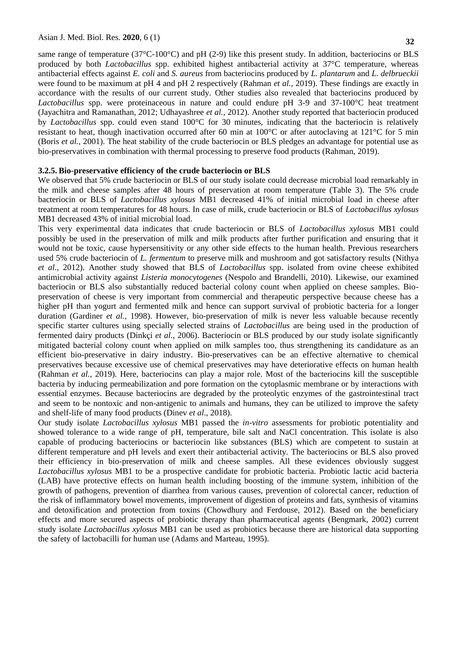same range of temperature (37°C-100°C) and pH (2-9) like this present study. In addition, bacteriocins or BLS produced by both *Lactobacillus* spp. exhibited highest antibacterial activity at 37°C temperature, whereas antibacterial effects against *E. coli* and *S. aureus* from bacteriocins produced by *L. plantarum* and *L. delbrueckii*  were found to be maximum at pH 4 and pH 2 respectively (Rahman *et al.*, 2019). These findings are exactly in accordance with the results of our current study. Other studies also revealed that bacteriocins produced by *Lactobacillus* spp. were proteinaceous in nature and could endure pH 3-9 and 37-100°C heat treatment (Jayachitra and Ramanathan, 2012; Udhayashree *et al.*, 2012). Another study reported that bacteriocin produced by *Lactobacillus* spp. could even stand 100°C for 30 minutes, indicating that the bacteriocin is relatively resistant to heat, though inactivation occurred after 60 min at 100°C or after autoclaving at 121°C for 5 min (Boris *et al.,* 2001). The heat stability of the crude bacteriocin or BLS pledges an advantage for potential use as bio-preservatives in combination with thermal processing to preserve food products (Rahman, 2019).

#### **3.2.5. Bio-preservative efficiency of the crude bacteriocin or BLS**

We observed that 5% crude bacteriocin or BLS of our study isolate could decrease microbial load remarkably in the milk and cheese samples after 48 hours of preservation at room temperature (Table 3). The 5% crude bacteriocin or BLS of *Lactobacillus xylosus* MB1 decreased 41% of initial microbial load in cheese after treatment at room temperatures for 48 hours. In case of milk, crude bacteriocin or BLS of *Lactobacillus xylosus* MB1 decreased 43% of initial microbial load.

This very experimental data indicates that crude bacteriocin or BLS of *Lactobacillus xylosus* MB1 could possibly be used in the preservation of milk and milk products after further purification and ensuring that it would not be toxic, cause hypersensitivity or any other side effects to the human health. Previous researchers used 5% crude bacteriocin of *L. fermentum* to preserve milk and mushroom and got satisfactory results (Nithya *et al.*, 2012). Another study showed that BLS of *Lactobacillus* spp. isolated from ovine cheese exhibited antimicrobial activity against *Listeria monocytogenes* (Nespolo and Brandelli, 2010). Likewise, our examined bacteriocin or BLS also substantially reduced bacterial colony count when applied on cheese samples. Biopreservation of cheese is very important from commercial and therapeutic perspective because cheese has a higher pH than yogurt and fermented milk and hence can support survival of probiotic bacteria for a longer duration (Gardiner *et al.*, 1998). However, bio-preservation of milk is never less valuable because recently specific starter cultures using specially selected strains of *Lactobacillus* are being used in the production of fermented dairy products (Dinkçi *et al.*, 2006). Bacteriocin or BLS produced by our study isolate significantly mitigated bacterial colony count when applied on milk samples too, thus strengthening its candidature as an efficient bio-preservative in dairy industry. Bio-preservatives can be an effective alternative to chemical preservatives because excessive use of chemical preservatives may have deteriorative effects on human health (Rahman *et al.*, 2019). Here, bacteriocins can play a major role. Most of the bacteriocins kill the susceptible bacteria by inducing permeabilization and pore formation on the cytoplasmic membrane or by interactions with essential enzymes. Because bacteriocins are degraded by the proteolytic enzymes of the gastrointestinal tract and seem to be nontoxic and non-antigenic to animals and humans, they can be utilized to improve the safety and shelf-life of many food products (Dinev *et al*., 2018).

Our study isolate *Lactobacillus xylosus* MB1 passed the *in-vitro* assessments for probiotic potentiality and showed tolerance to a wide range of pH, temperature, bile salt and NaCl concentration. This isolate is also capable of producing bacteriocins or bacteriocin like substances (BLS) which are competent to sustain at different temperature and pH levels and exert their antibacterial activity. The bacteriocins or BLS also proved their efficiency in bio-preservation of milk and cheese samples. All these evidences obviously suggest *Lactobacillus xylosus* MB1 to be a prospective candidate for probiotic bacteria. Probiotic lactic acid bacteria (LAB) have protective effects on human health including boosting of the immune system, inhibition of the growth of pathogens, prevention of diarrhea from various causes, prevention of colorectal cancer, reduction of the risk of inflammatory bowel movements, improvement of digestion of proteins and fats, synthesis of vitamins and detoxification and protection from toxins (Chowdhury and Ferdouse, 2012). Based on the beneficiary effects and more secured aspects of probiotic therapy than pharmaceutical agents (Bengmark, 2002) current study isolate *Lactobacillus xylosus* MB1 can be used as probiotics because there are historical data supporting the safety of lactobacilli for human use (Adams and Marteau, 1995).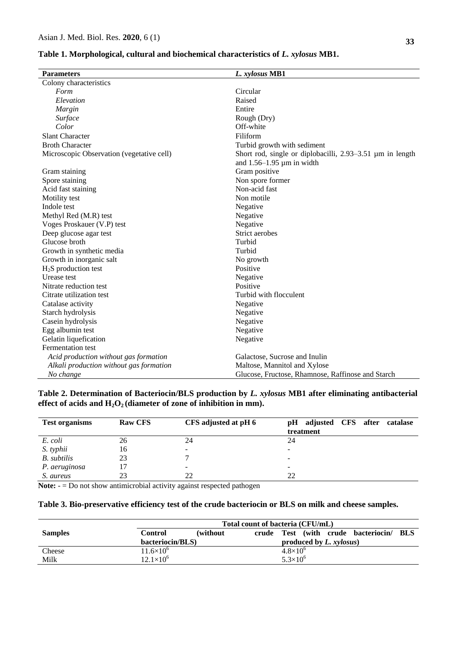### **Table 1. Morphological, cultural and biochemical characteristics of** *L. xylosus* **MB1.**

| <b>Parameters</b>                         | L. xylosus MB1                                                                           |
|-------------------------------------------|------------------------------------------------------------------------------------------|
| Colony characteristics                    |                                                                                          |
| Form                                      | Circular                                                                                 |
| Elevation                                 | Raised                                                                                   |
| Margin                                    | Entire                                                                                   |
| Surface                                   | Rough (Dry)                                                                              |
| Color                                     | Off-white                                                                                |
| <b>Slant Character</b>                    | Filiform                                                                                 |
| <b>Broth Character</b>                    | Turbid growth with sediment                                                              |
| Microscopic Observation (vegetative cell) | Short rod, single or diplobacilli, 2.93–3.51 µm in length<br>and $1.56-1.95$ µm in width |
| Gram staining                             | Gram positive                                                                            |
| Spore staining                            | Non spore former                                                                         |
| Acid fast staining                        | Non-acid fast                                                                            |
| Motility test                             | Non motile                                                                               |
| Indole test                               | Negative                                                                                 |
| Methyl Red (M.R) test                     | Negative                                                                                 |
| Voges Proskauer (V.P) test                | Negative                                                                                 |
| Deep glucose agar test                    | Strict aerobes                                                                           |
| Glucose broth                             | Turbid                                                                                   |
| Growth in synthetic media                 | Turbid                                                                                   |
| Growth in inorganic salt                  | No growth                                                                                |
| $H2S$ production test                     | Positive                                                                                 |
| Urease test                               | Negative                                                                                 |
| Nitrate reduction test                    | Positive                                                                                 |
| Citrate utilization test                  | Turbid with flocculent                                                                   |
| Catalase activity                         | Negative                                                                                 |
| Starch hydrolysis                         | Negative                                                                                 |
| Casein hydrolysis                         | Negative                                                                                 |
| Egg albumin test                          | Negative                                                                                 |
| Gelatin liquefication                     | Negative                                                                                 |
| Fermentation test                         |                                                                                          |
| Acid production without gas formation     | Galactose, Sucrose and Inulin                                                            |
| Alkali production without gas formation   | Maltose, Mannitol and Xylose                                                             |
| No change                                 | Glucose, Fructose, Rhamnose, Raffinose and Starch                                        |

## **Table 2. Determination of Bacteriocin/BLS production by** *L. xylosus* **MB1 after eliminating antibacterial effect of acids and H2O2 (diameter of zone of inhibition in mm).**

| <b>Test organisms</b> | <b>Raw CFS</b> | CFS adjusted at pH 6 | pH adjusted CFS after<br>catalase |
|-----------------------|----------------|----------------------|-----------------------------------|
|                       |                |                      | treatment                         |
| E. coli               | 26             | 24                   | 24                                |
| S. typhii             | 16             |                      |                                   |
| B. subtilis           | 23             |                      |                                   |
| P. aeruginosa         |                |                      | ٠                                 |
| S. aureus             | 23             | 22                   | 22                                |

**Note:** - = Do not show antimicrobial activity against respected pathogen

## **Table 3. Bio-preservative efficiency test of the crude bacteriocin or BLS on milk and cheese samples.**

|                | Total count of bacteria (CFU/mL) |           |                                   |                     |  |  |                                     |       |
|----------------|----------------------------------|-----------|-----------------------------------|---------------------|--|--|-------------------------------------|-------|
| <b>Samples</b> | Control                          | (without) |                                   |                     |  |  | crude Test (with crude bacteriocin/ | - BLS |
|                | bacteriocin/BLS)                 |           | produced by $L$ , $x \nu loss(x)$ |                     |  |  |                                     |       |
| Cheese         | $11.6\times10^{6}$               |           |                                   | $4.8\times10^{6}$   |  |  |                                     |       |
| Milk           | $12.1\times10^{6}$               |           |                                   | $5.3 \times 10^{6}$ |  |  |                                     |       |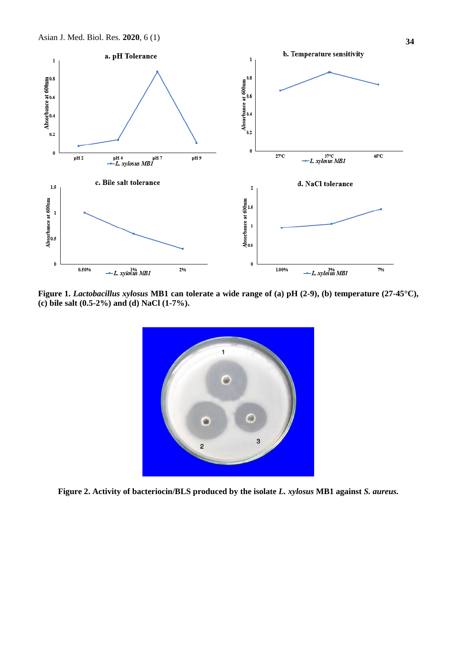

**Figure 1.** *Lactobacillus xylosus* **MB1 can tolerate a wide range of (a) pH (2-9), (b) temperature (27-45°C), (c) bile salt (0.5-2%) and (d) NaCl (1-7%).** 



**Figure 2. Activity of bacteriocin/BLS produced by the isolate** *L. xylosus* **MB1 against** *S. aureus.*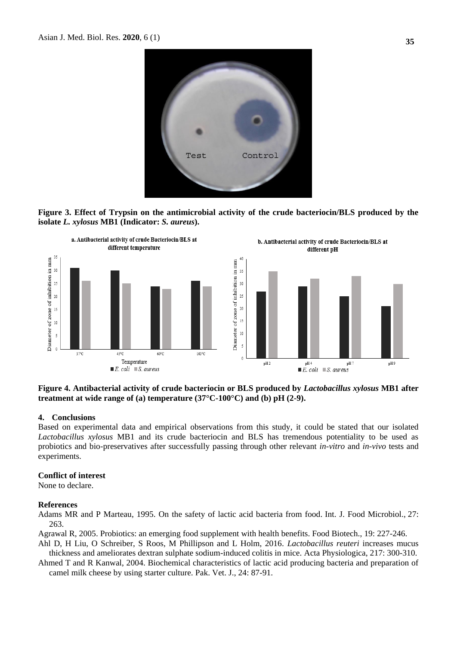





**Figure 4. Antibacterial activity of crude bacteriocin or BLS produced by** *Lactobacillus xylosus* **MB1 after treatment at wide range of (a) temperature (37°C-100°C) and (b) pH (2-9).**

#### **4. Conclusions**

Based on experimental data and empirical observations from this study, it could be stated that our isolated *Lactobacillus xylosus* MB1 and its crude bacteriocin and BLS has tremendous potentiality to be used as probiotics and bio-preservatives after successfully passing through other relevant *in-vitro* and *in-vivo* tests and experiments.

### **Conflict of interest**

None to declare.

#### **References**

Adams MR and P Marteau, 1995. On the safety of lactic acid bacteria from food. Int. J. Food Microbiol., 27: 263.

Agrawal R, 2005. Probiotics: an emerging food supplement with health benefits. Food Biotech., 19: 227-246.

Ahl D, H Liu, O Schreiber, S Roos, M Phillipson and L Holm, 2016. *Lactobacillus reuteri* increases mucus thickness and ameliorates dextran sulphate sodium-induced colitis in mice. Acta Physiologica, 217: 300-310.

Ahmed T and R Kanwal, 2004. Biochemical characteristics of lactic acid producing bacteria and preparation of camel milk cheese by using starter culture. Pak. Vet. J., 24: 87-91.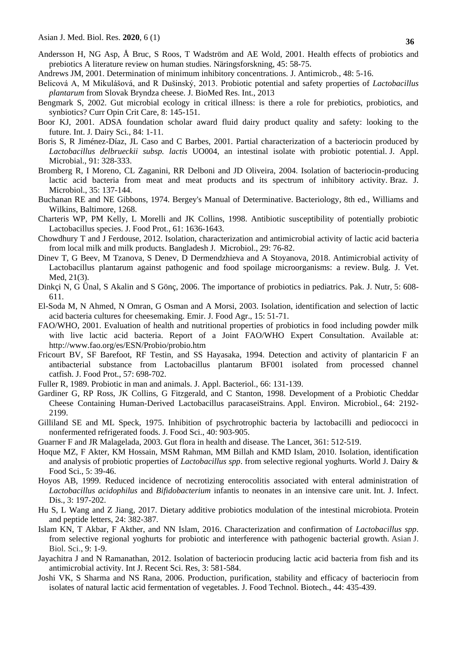- Andersson H, NG Asp, Å Bruc, S Roos, T Wadström and AE Wold, 2001. Health effects of probiotics and prebiotics A literature review on human studies. Näringsforskning, 45: 58-75.
- Andrews JM, 2001. Determination of minimum inhibitory concentrations. J. Antimicrob., 48: 5-16.
- Belicová A, M Mikulášová, and R Dušinský, 2013. Probiotic potential and safety properties of *Lactobacillus plantarum* from Slovak Bryndza cheese. J. BioMed Res. Int., 2013
- Bengmark S, 2002. Gut microbial ecology in critical illness: is there a role for prebiotics, probiotics, and synbiotics? Curr Opin Crit Care, 8: 145-151.
- Boor KJ, 2001. ADSA foundation scholar award fluid dairy product quality and safety: looking to the future. Int. J. Dairy Sci., 84: 1-11.
- Boris S, R Jiménez-Díaz, JL Caso and C Barbes, 2001. Partial characterization of a bacteriocin produced by *Lactobacillus delbrueckii subsp. lactis* UO004, an intestinal isolate with probiotic potential. J. Appl. Microbial., 91: 328-333.
- Bromberg R, I Moreno, CL Zaganini, RR Delboni and JD Oliveira, 2004. Isolation of bacteriocin-producing lactic acid bacteria from meat and meat products and its spectrum of inhibitory activity. Braz. J. Microbiol., 35: 137-144.
- Buchanan RE and NE Gibbons, 1974. Bergey's Manual of Determinative. Bacteriology, 8th ed., Williams and Wilkins, Baltimore, 1268.
- Charteris WP, PM Kelly, L Morelli and JK Collins, 1998. Antibiotic susceptibility of potentially probiotic Lactobacillus species. J. Food Prot., 61: 1636-1643.
- Chowdhury T and J Ferdouse, 2012. Isolation, characterization and antimicrobial activity of lactic acid bacteria from local milk and milk products. Bangladesh J. Microbiol., 29: 76-82.
- Dinev T, G Beev, M Tzanova, S Denev, D Dermendzhieva and A Stoyanova, 2018. Antimicrobial activity of Lactobacillus plantarum against pathogenic and food spoilage microorganisms: a review. Bulg. J. Vet. Med, 21(3).
- Dinkçi N, G Ünal, S Akalin and S Gönç, 2006. The importance of probiotics in pediatrics. Pak. J. Nutr, 5: 608- 611.
- El-Soda M, N Ahmed, N Omran, G Osman and A Morsi, 2003. Isolation, identification and selection of lactic acid bacteria cultures for cheesemaking. Emir. J. Food Agr., 15: 51-71.
- FAO/WHO, 2001. Evaluation of health and nutritional properties of probiotics in food including powder milk with live lactic acid bacteria. Report of a Joint FAO/WHO Expert Consultation. Available at: <http://www.fao.org/es/ESN/Probio/probio.htm>
- Fricourt BV, SF Barefoot, RF Testin, and SS Hayasaka, 1994. Detection and activity of plantaricin F an antibacterial substance from Lactobacillus plantarum BF001 isolated from processed channel catfish. J. Food Prot., 57: 698-702.
- Fuller R, 1989. Probiotic in man and animals. J. Appl. Bacteriol., 66: 131-139.
- Gardiner G, RP Ross, JK Collins, G Fitzgerald, and C Stanton, 1998. Development of a Probiotic Cheddar Cheese Containing Human-Derived Lactobacillus paracaseiStrains. Appl. Environ. Microbiol., 64: 2192- 2199.
- Gilliland SE and ML Speck, 1975. Inhibition of psychrotrophic bacteria by lactobacilli and pediococci in nonfermented refrigerated foods. J. Food Sci., 40: 903-905.
- Guarner F and JR Malagelada, 2003. Gut flora in health and disease. The Lancet, 361: 512-519.
- Hoque MZ, F Akter, KM Hossain, MSM Rahman, MM Billah and KMD Islam, 2010. Isolation, identification and analysis of probiotic properties of *Lactobacillus spp*. from selective regional yoghurts. World J. Dairy & Food Sci., 5: 39-46.
- Hoyos AB, 1999. Reduced incidence of necrotizing enterocolitis associated with enteral administration of *Lactobacillus acidophilus* and *Bifidobacterium* infantis to neonates in an intensive care unit. Int. J. Infect. Dis., 3: 197-202.
- Hu S, L Wang and Z Jiang, 2017. Dietary additive probiotics modulation of the intestinal microbiota. Protein and peptide letters, 24: 382-387.
- Islam KN, T Akbar, F Akther, and NN Islam, 2016. Characterization and confirmation of *Lactobacillus spp*. from selective regional yoghurts for probiotic and interference with pathogenic bacterial growth. Asian J. Biol. Sci., 9: 1-9.
- Jayachitra J and N Ramanathan, 2012. Isolation of bacteriocin producing lactic acid bacteria from fish and its antimicrobial activity. Int J. Recent Sci. Res, 3: 581-584.
- Joshi VK, S Sharma and NS Rana, 2006. Production, purification, stability and efficacy of bacteriocin from isolates of natural lactic acid fermentation of vegetables. J. Food Technol. Biotech., 44: 435-439.